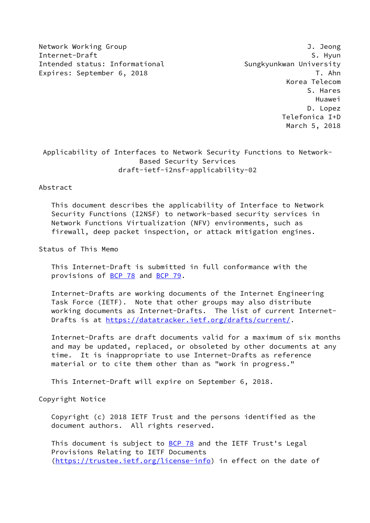Network Working Group J. Jeong Internet-Draft S. Hyun Intended status: Informational Sungkyunkwan University Expires: September 6, 2018 T. Ahn

 Korea Telecom S. Hares Huawei D. Lopez Telefonica I+D March 5, 2018

# Applicability of Interfaces to Network Security Functions to Network- Based Security Services draft-ietf-i2nsf-applicability-02

## Abstract

 This document describes the applicability of Interface to Network Security Functions (I2NSF) to network-based security services in Network Functions Virtualization (NFV) environments, such as firewall, deep packet inspection, or attack mitigation engines.

Status of This Memo

 This Internet-Draft is submitted in full conformance with the provisions of [BCP 78](https://datatracker.ietf.org/doc/pdf/bcp78) and [BCP 79](https://datatracker.ietf.org/doc/pdf/bcp79).

 Internet-Drafts are working documents of the Internet Engineering Task Force (IETF). Note that other groups may also distribute working documents as Internet-Drafts. The list of current Internet- Drafts is at<https://datatracker.ietf.org/drafts/current/>.

 Internet-Drafts are draft documents valid for a maximum of six months and may be updated, replaced, or obsoleted by other documents at any time. It is inappropriate to use Internet-Drafts as reference material or to cite them other than as "work in progress."

This Internet-Draft will expire on September 6, 2018.

Copyright Notice

 Copyright (c) 2018 IETF Trust and the persons identified as the document authors. All rights reserved.

This document is subject to **[BCP 78](https://datatracker.ietf.org/doc/pdf/bcp78)** and the IETF Trust's Legal Provisions Relating to IETF Documents [\(https://trustee.ietf.org/license-info](https://trustee.ietf.org/license-info)) in effect on the date of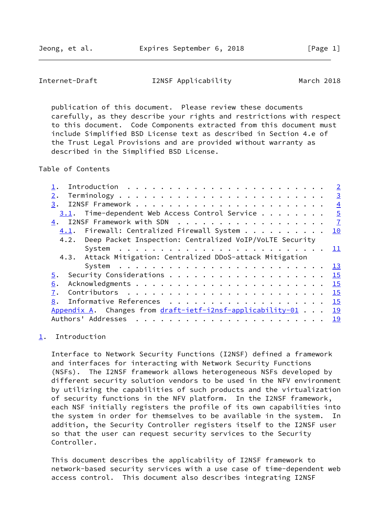<span id="page-1-1"></span>Internet-Draft I2NSF Applicability March 2018

 publication of this document. Please review these documents carefully, as they describe your rights and restrictions with respect to this document. Code Components extracted from this document must include Simplified BSD License text as described in Section 4.e of the Trust Legal Provisions and are provided without warranty as described in the Simplified BSD License.

Table of Contents

| $\overline{2}$                                |
|-----------------------------------------------|
| $\overline{3}$                                |
| $\overline{4}$                                |
| $\overline{5}$                                |
| $\overline{1}$                                |
| 4.1. Firewall: Centralized Firewall System 10 |
|                                               |
| 11                                            |
|                                               |
| <u> 13</u>                                    |
| $\overline{15}$                               |
| 15                                            |
| 15                                            |
| Informative References 15                     |
| <u> 19</u>                                    |
|                                               |
|                                               |

## <span id="page-1-0"></span>[1](#page-1-0). Introduction

 Interface to Network Security Functions (I2NSF) defined a framework and interfaces for interacting with Network Security Functions (NSFs). The I2NSF framework allows heterogeneous NSFs developed by different security solution vendors to be used in the NFV environment by utilizing the capabilities of such products and the virtualization of security functions in the NFV platform. In the I2NSF framework, each NSF initially registers the profile of its own capabilities into the system in order for themselves to be available in the system. In addition, the Security Controller registers itself to the I2NSF user so that the user can request security services to the Security Controller.

 This document describes the applicability of I2NSF framework to network-based security services with a use case of time-dependent web access control. This document also describes integrating I2NSF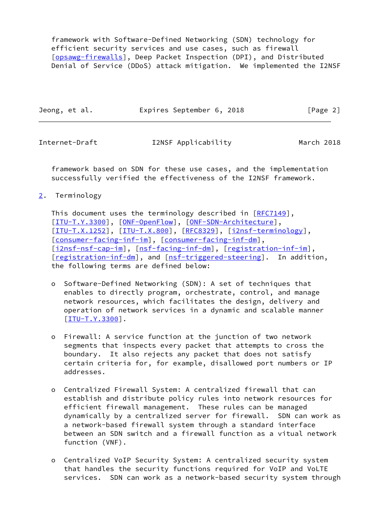framework with Software-Defined Networking (SDN) technology for efficient security services and use cases, such as firewall [\[opsawg-firewalls](#page-18-0)], Deep Packet Inspection (DPI), and Distributed Denial of Service (DDoS) attack mitigation. We implemented the I2NSF

| Jeong, et al. | Expires September 6, 2018 |  | [Page 2] |
|---------------|---------------------------|--|----------|
|---------------|---------------------------|--|----------|

<span id="page-2-1"></span>Internet-Draft I2NSF Applicability March 2018

 framework based on SDN for these use cases, and the implementation successfully verified the effectiveness of the I2NSF framework.

<span id="page-2-0"></span>[2](#page-2-0). Terminology

This document uses the terminology described in [\[RFC7149](https://datatracker.ietf.org/doc/pdf/rfc7149)], [\[ITU-T.Y.3300](#page-17-0)], [\[ONF-OpenFlow](#page-18-1)], [\[ONF-SDN-Architecture](#page-18-2)], [\[ITU-T.X.1252](#page-17-1)], [\[ITU-T.X.800](#page-17-2)], [\[RFC8329](https://datatracker.ietf.org/doc/pdf/rfc8329)], [[i2nsf-terminology\]](#page-17-3), [\[consumer-facing-inf-im](#page-17-4)], [[consumer-facing-inf-dm](#page-17-5)], [\[i2nsf-nsf-cap-im](#page-17-6)], [\[nsf-facing-inf-dm](#page-17-7)], [\[registration-inf-im](#page-18-3)], [\[registration-inf-dm](#page-18-4)], and [[nsf-triggered-steering](#page-18-5)]. In addition, the following terms are defined below:

- o Software-Defined Networking (SDN): A set of techniques that enables to directly program, orchestrate, control, and manage network resources, which facilitates the design, delivery and operation of network services in a dynamic and scalable manner [[ITU-T.Y.3300\]](#page-17-0).
- o Firewall: A service function at the junction of two network segments that inspects every packet that attempts to cross the boundary. It also rejects any packet that does not satisfy certain criteria for, for example, disallowed port numbers or IP addresses.
- o Centralized Firewall System: A centralized firewall that can establish and distribute policy rules into network resources for efficient firewall management. These rules can be managed dynamically by a centralized server for firewall. SDN can work as a network-based firewall system through a standard interface between an SDN switch and a firewall function as a vitual network function (VNF).
- o Centralized VoIP Security System: A centralized security system that handles the security functions required for VoIP and VoLTE services. SDN can work as a network-based security system through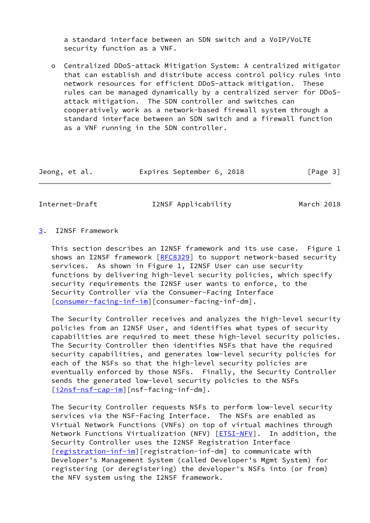a standard interface between an SDN switch and a VoIP/VoLTE security function as a VNF.

 o Centralized DDoS-attack Mitigation System: A centralized mitigator that can establish and distribute access control policy rules into network resources for efficient DDoS-attack mitigation. These rules can be managed dynamically by a centralized server for DDoS attack mitigation. The SDN controller and switches can cooperatively work as a network-based firewall system through a standard interface between an SDN switch and a firewall function as a VNF running in the SDN controller.

| Jeong, et al. | Expires September 6, 2018 |  | [Page 3] |
|---------------|---------------------------|--|----------|
|---------------|---------------------------|--|----------|

<span id="page-3-1"></span>Internet-Draft I2NSF Applicability March 2018

## <span id="page-3-0"></span>[3](#page-3-0). I2NSF Framework

 This section describes an I2NSF framework and its use case. Figure 1 shows an I2NSF framework [\[RFC8329](https://datatracker.ietf.org/doc/pdf/rfc8329)] to support network-based security services. As shown in Figure 1, I2NSF User can use security functions by delivering high-level security policies, which specify security requirements the I2NSF user wants to enforce, to the Security Controller via the Consumer-Facing Interface [\[consumer-facing-inf-im](#page-17-4)][consumer-facing-inf-dm].

 The Security Controller receives and analyzes the high-level security policies from an I2NSF User, and identifies what types of security capabilities are required to meet these high-level security policies. The Security Controller then identifies NSFs that have the required security capabilities, and generates low-level security policies for each of the NSFs so that the high-level security policies are eventually enforced by those NSFs. Finally, the Security Controller sends the generated low-level security policies to the NSFs [\[i2nsf-nsf-cap-im](#page-17-6)][nsf-facing-inf-dm].

 The Security Controller requests NSFs to perform low-level security services via the NSF-Facing Interface. The NSFs are enabled as Virtual Network Functions (VNFs) on top of virtual machines through Network Functions Virtualization (NFV) [\[ETSI-NFV](#page-17-8)]. In addition, the Security Controller uses the I2NSF Registration Interface [\[registration-inf-im](#page-18-3)][registration-inf-dm] to communicate with Developer's Management System (called Developer's Mgmt System) for registering (or deregistering) the developer's NSFs into (or from) the NFV system using the I2NSF framework.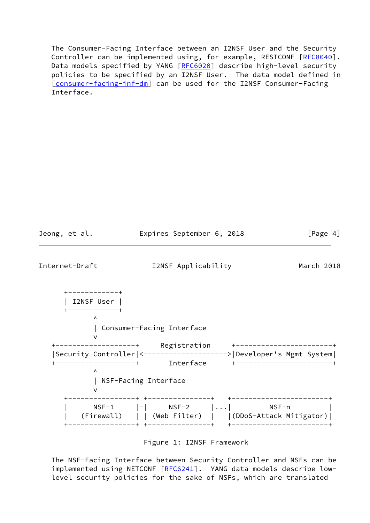The Consumer-Facing Interface between an I2NSF User and the Security Controller can be implemented using, for example, RESTCONF [[RFC8040\]](https://datatracker.ietf.org/doc/pdf/rfc8040). Data models specified by YANG [[RFC6020](https://datatracker.ietf.org/doc/pdf/rfc6020)] describe high-level security policies to be specified by an I2NSF User. The data model defined in [\[consumer-facing-inf-dm](#page-17-5)] can be used for the I2NSF Consumer-Facing Interface.

<span id="page-4-0"></span>

| Jeong, et al.                           |                                                                                      | Expires September 6, 2018                                                                   | [Page 4]                                                                                        |
|-----------------------------------------|--------------------------------------------------------------------------------------|---------------------------------------------------------------------------------------------|-------------------------------------------------------------------------------------------------|
| Internet-Draft                          |                                                                                      | I2NSF Applicability                                                                         | March 2018                                                                                      |
| ------------+<br>I2NSF User  <br>Λ<br>Λ | Consumer-Facing Interface<br>--------------+       Interface<br>NSF-Facing Interface |                                                                                             | Security Controller <-------------------> Developer's Mgmt System <br>+-----------------------+ |
|                                         | -------------+                                                                       | $NSF-1$ $ - $ $NSF-2$ $  $ NSF-n<br>(Firewall)     (Web Filter)     (DDoS-Attack Mitigator) | +--------------------                                                                           |

Figure 1: I2NSF Framework

 The NSF-Facing Interface between Security Controller and NSFs can be implemented using NETCONF [[RFC6241](https://datatracker.ietf.org/doc/pdf/rfc6241)]. YANG data models describe lowlevel security policies for the sake of NSFs, which are translated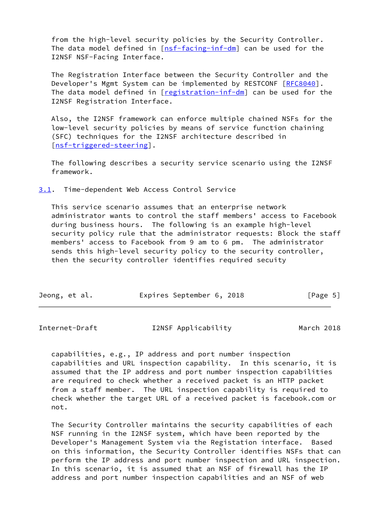from the high-level security policies by the Security Controller. The data model defined in  $[nsf-facing-inf-dm]$  $[nsf-facing-inf-dm]$  can be used for the I2NSF NSF-Facing Interface.

 The Registration Interface between the Security Controller and the Developer's Mgmt System can be implemented by RESTCONF [\[RFC8040](https://datatracker.ietf.org/doc/pdf/rfc8040)]. The data model defined in [[registration-inf-dm](#page-18-4)] can be used for the I2NSF Registration Interface.

 Also, the I2NSF framework can enforce multiple chained NSFs for the low-level security policies by means of service function chaining (SFC) techniques for the I2NSF architecture described in [\[nsf-triggered-steering](#page-18-5)].

 The following describes a security service scenario using the I2NSF framework.

<span id="page-5-0"></span>[3.1](#page-5-0). Time-dependent Web Access Control Service

 This service scenario assumes that an enterprise network administrator wants to control the staff members' access to Facebook during business hours. The following is an example high-level security policy rule that the administrator requests: Block the staff members' access to Facebook from 9 am to 6 pm. The administrator sends this high-level security policy to the security controller, then the security controller identifies required secuity

| Jeong, et al. |  |  |  | Expires September 6, 2018 |  |  | [Page 5] |  |
|---------------|--|--|--|---------------------------|--|--|----------|--|
|---------------|--|--|--|---------------------------|--|--|----------|--|

Internet-Draft I2NSF Applicability March 2018

 capabilities, e.g., IP address and port number inspection capabilities and URL inspection capability. In this scenario, it is assumed that the IP address and port number inspection capabilities are required to check whether a received packet is an HTTP packet from a staff member. The URL inspection capability is required to check whether the target URL of a received packet is facebook.com or not.

 The Security Controller maintains the security capabilities of each NSF running in the I2NSF system, which have been reported by the Developer's Management System via the Registation interface. Based on this information, the Security Controller identifies NSFs that can perform the IP address and port number inspection and URL inspection. In this scenario, it is assumed that an NSF of firewall has the IP address and port number inspection capabilities and an NSF of web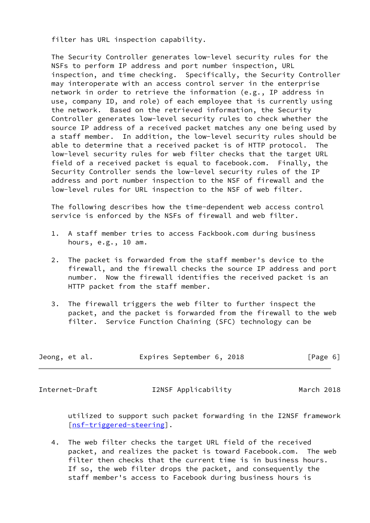filter has URL inspection capability.

 The Security Controller generates low-level security rules for the NSFs to perform IP address and port number inspection, URL inspection, and time checking. Specifically, the Security Controller may interoperate with an access control server in the enterprise network in order to retrieve the information (e.g., IP address in use, company ID, and role) of each employee that is currently using the network. Based on the retrieved information, the Security Controller generates low-level security rules to check whether the source IP address of a received packet matches any one being used by a staff member. In addition, the low-level security rules should be able to determine that a received packet is of HTTP protocol. The low-level security rules for web filter checks that the target URL field of a received packet is equal to facebook.com. Finally, the Security Controller sends the low-level security rules of the IP address and port number inspection to the NSF of firewall and the low-level rules for URL inspection to the NSF of web filter.

 The following describes how the time-dependent web access control service is enforced by the NSFs of firewall and web filter.

- 1. A staff member tries to access Fackbook.com during business hours, e.g., 10 am.
- 2. The packet is forwarded from the staff member's device to the firewall, and the firewall checks the source IP address and port number. Now the firewall identifies the received packet is an HTTP packet from the staff member.
- 3. The firewall triggers the web filter to further inspect the packet, and the packet is forwarded from the firewall to the web filter. Service Function Chaining (SFC) technology can be

| Jeong, et al. | Expires September 6, 2018 | [Page 6] |
|---------------|---------------------------|----------|
|---------------|---------------------------|----------|

<span id="page-6-0"></span>Internet-Draft I2NSF Applicability March 2018

 utilized to support such packet forwarding in the I2NSF framework [\[nsf-triggered-steering](#page-18-5)].

 4. The web filter checks the target URL field of the received packet, and realizes the packet is toward Facebook.com. The web filter then checks that the current time is in business hours. If so, the web filter drops the packet, and consequently the staff member's access to Facebook during business hours is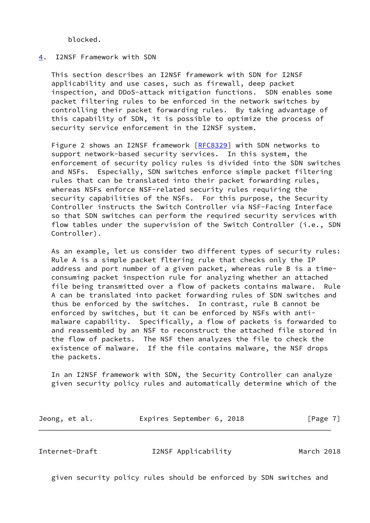blocked.

## <span id="page-7-0"></span>[4](#page-7-0). I2NSF Framework with SDN

 This section describes an I2NSF framework with SDN for I2NSF applicability and use cases, such as firewall, deep packet inspection, and DDoS-attack mitigation functions. SDN enables some packet filtering rules to be enforced in the network switches by controlling their packet forwarding rules. By taking advantage of this capability of SDN, it is possible to optimize the process of security service enforcement in the I2NSF system.

 Figure 2 shows an I2NSF framework [[RFC8329](https://datatracker.ietf.org/doc/pdf/rfc8329)] with SDN networks to support network-based security services. In this system, the enforcement of security policy rules is divided into the SDN switches and NSFs. Especially, SDN switches enforce simple packet filtering rules that can be translated into their packet forwarding rules, whereas NSFs enforce NSF-related security rules requiring the security capabilities of the NSFs. For this purpose, the Security Controller instructs the Switch Controller via NSF-Facing Interface so that SDN switches can perform the required security services with flow tables under the supervision of the Switch Controller (i.e., SDN Controller).

 As an example, let us consider two different types of security rules: Rule A is a simple packet fltering rule that checks only the IP address and port number of a given packet, whereas rule B is a time consuming packet inspection rule for analyzing whether an attached file being transmitted over a flow of packets contains malware. Rule A can be translated into packet forwarding rules of SDN switches and thus be enforced by the switches. In contrast, rule B cannot be enforced by switches, but it can be enforced by NSFs with anti malware capability. Specifically, a flow of packets is forwarded to and reassembled by an NSF to reconstruct the attached file stored in the flow of packets. The NSF then analyzes the file to check the existence of malware. If the file contains malware, the NSF drops the packets.

 In an I2NSF framework with SDN, the Security Controller can analyze given security policy rules and automatically determine which of the

| Jeong, et al. | Expires September 6, 2018 |  |  | [Page 7] |
|---------------|---------------------------|--|--|----------|
|---------------|---------------------------|--|--|----------|

Internet-Draft I2NSF Applicability March 2018

given security policy rules should be enforced by SDN switches and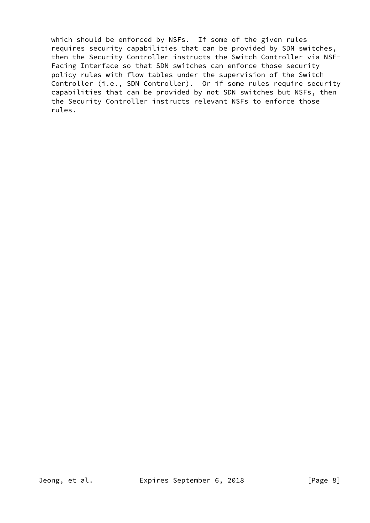which should be enforced by NSFs. If some of the given rules requires security capabilities that can be provided by SDN switches, then the Security Controller instructs the Switch Controller via NSF- Facing Interface so that SDN switches can enforce those security policy rules with flow tables under the supervision of the Switch Controller (i.e., SDN Controller). Or if some rules require security capabilities that can be provided by not SDN switches but NSFs, then the Security Controller instructs relevant NSFs to enforce those rules.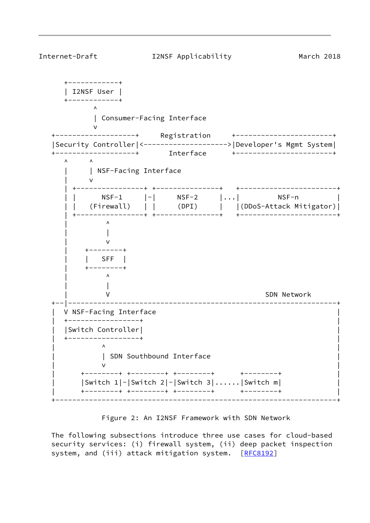

Figure 2: An I2NSF Framework with SDN Network

 The following subsections introduce three use cases for cloud-based security services: (i) firewall system, (ii) deep packet inspection system, and (iii) attack mitigation system. [\[RFC8192](https://datatracker.ietf.org/doc/pdf/rfc8192)]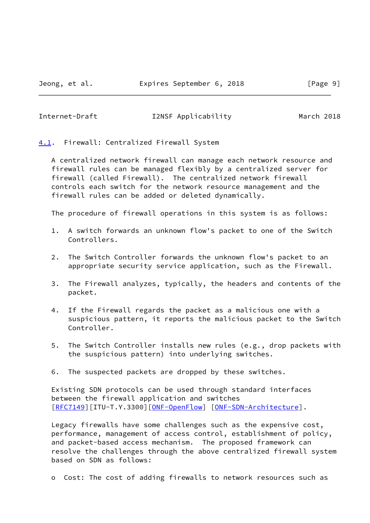## <span id="page-10-1"></span>Internet-Draft I2NSF Applicability March 2018

<span id="page-10-0"></span>[4.1](#page-10-0). Firewall: Centralized Firewall System

 A centralized network firewall can manage each network resource and firewall rules can be managed flexibly by a centralized server for firewall (called Firewall). The centralized network firewall controls each switch for the network resource management and the firewall rules can be added or deleted dynamically.

The procedure of firewall operations in this system is as follows:

- 1. A switch forwards an unknown flow's packet to one of the Switch Controllers.
- 2. The Switch Controller forwards the unknown flow's packet to an appropriate security service application, such as the Firewall.
- 3. The Firewall analyzes, typically, the headers and contents of the packet.
- 4. If the Firewall regards the packet as a malicious one with a suspicious pattern, it reports the malicious packet to the Switch Controller.
- 5. The Switch Controller installs new rules (e.g., drop packets with the suspicious pattern) into underlying switches.
- 6. The suspected packets are dropped by these switches.

 Existing SDN protocols can be used through standard interfaces between the firewall application and switches [\[RFC7149](https://datatracker.ietf.org/doc/pdf/rfc7149)][ITU-T.Y.3300][\[ONF-OpenFlow](#page-18-1)] [[ONF-SDN-Architecture\]](#page-18-2).

 Legacy firewalls have some challenges such as the expensive cost, performance, management of access control, establishment of policy, and packet-based access mechanism. The proposed framework can resolve the challenges through the above centralized firewall system based on SDN as follows:

o Cost: The cost of adding firewalls to network resources such as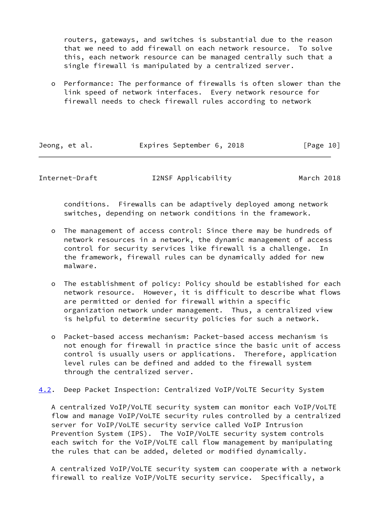routers, gateways, and switches is substantial due to the reason that we need to add firewall on each network resource. To solve this, each network resource can be managed centrally such that a single firewall is manipulated by a centralized server.

 o Performance: The performance of firewalls is often slower than the link speed of network interfaces. Every network resource for firewall needs to check firewall rules according to network

| Jeong, et al. | Expires September 6, 2018 |  | [Page 10] |
|---------------|---------------------------|--|-----------|
|               |                           |  |           |

<span id="page-11-0"></span>Internet-Draft I2NSF Applicability March 2018

 conditions. Firewalls can be adaptively deployed among network switches, depending on network conditions in the framework.

- o The management of access control: Since there may be hundreds of network resources in a network, the dynamic management of access control for security services like firewall is a challenge. In the framework, firewall rules can be dynamically added for new malware.
- o The establishment of policy: Policy should be established for each network resource. However, it is difficult to describe what flows are permitted or denied for firewall within a specific organization network under management. Thus, a centralized view is helpful to determine security policies for such a network.
- o Packet-based access mechanism: Packet-based access mechanism is not enough for firewall in practice since the basic unit of access control is usually users or applications. Therefore, application level rules can be defined and added to the firewall system through the centralized server.
- <span id="page-11-1"></span>[4.2](#page-11-1). Deep Packet Inspection: Centralized VoIP/VoLTE Security System

 A centralized VoIP/VoLTE security system can monitor each VoIP/VoLTE flow and manage VoIP/VoLTE security rules controlled by a centralized server for VoIP/VoLTE security service called VoIP Intrusion Prevention System (IPS). The VoIP/VoLTE security system controls each switch for the VoIP/VoLTE call flow management by manipulating the rules that can be added, deleted or modified dynamically.

 A centralized VoIP/VoLTE security system can cooperate with a network firewall to realize VoIP/VoLTE security service. Specifically, a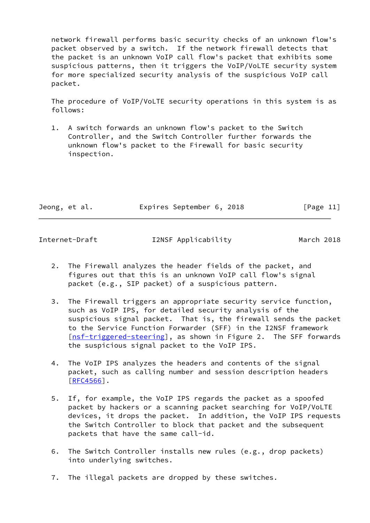network firewall performs basic security checks of an unknown flow's packet observed by a switch. If the network firewall detects that the packet is an unknown VoIP call flow's packet that exhibits some suspicious patterns, then it triggers the VoIP/VoLTE security system for more specialized security analysis of the suspicious VoIP call packet.

 The procedure of VoIP/VoLTE security operations in this system is as follows:

 1. A switch forwards an unknown flow's packet to the Switch Controller, and the Switch Controller further forwards the unknown flow's packet to the Firewall for basic security inspection.

| Jeong, et al. |  | Expires September 6, 2018 |  | [Page 11] |  |
|---------------|--|---------------------------|--|-----------|--|
|               |  |                           |  |           |  |

Internet-Draft I2NSF Applicability March 2018

- 2. The Firewall analyzes the header fields of the packet, and figures out that this is an unknown VoIP call flow's signal packet (e.g., SIP packet) of a suspicious pattern.
- 3. The Firewall triggers an appropriate security service function, such as VoIP IPS, for detailed security analysis of the suspicious signal packet. That is, the firewall sends the packet to the Service Function Forwarder (SFF) in the I2NSF framework [\[nsf-triggered-steering](#page-18-5)], as shown in Figure 2. The SFF forwards the suspicious signal packet to the VoIP IPS.
- 4. The VoIP IPS analyzes the headers and contents of the signal packet, such as calling number and session description headers [\[RFC4566](https://datatracker.ietf.org/doc/pdf/rfc4566)].
- 5. If, for example, the VoIP IPS regards the packet as a spoofed packet by hackers or a scanning packet searching for VoIP/VoLTE devices, it drops the packet. In addition, the VoIP IPS requests the Switch Controller to block that packet and the subsequent packets that have the same call-id.
- 6. The Switch Controller installs new rules (e.g., drop packets) into underlying switches.
- 7. The illegal packets are dropped by these switches.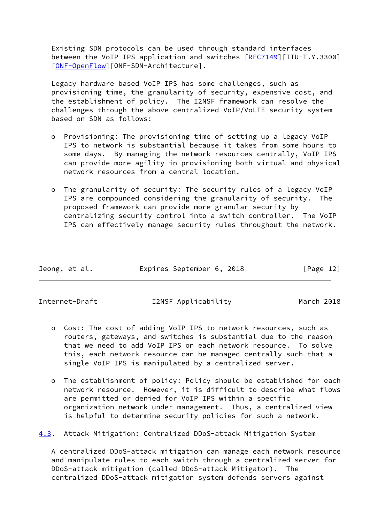Existing SDN protocols can be used through standard interfaces between the VoIP IPS application and switches [[RFC7149](https://datatracker.ietf.org/doc/pdf/rfc7149)][ITU-T.Y.3300] [\[ONF-OpenFlow](#page-18-1)][ONF-SDN-Architecture].

 Legacy hardware based VoIP IPS has some challenges, such as provisioning time, the granularity of security, expensive cost, and the establishment of policy. The I2NSF framework can resolve the challenges through the above centralized VoIP/VoLTE security system based on SDN as follows:

- o Provisioning: The provisioning time of setting up a legacy VoIP IPS to network is substantial because it takes from some hours to some days. By managing the network resources centrally, VoIP IPS can provide more agility in provisioning both virtual and physical network resources from a central location.
- o The granularity of security: The security rules of a legacy VoIP IPS are compounded considering the granularity of security. The proposed framework can provide more granular security by centralizing security control into a switch controller. The VoIP IPS can effectively manage security rules throughout the network.

| Jeong, et al. | Expires September 6, 2018 |  | [Page 12] |
|---------------|---------------------------|--|-----------|
|               |                           |  |           |

<span id="page-13-0"></span>

Internet-Draft I2NSF Applicability March 2018

- o Cost: The cost of adding VoIP IPS to network resources, such as routers, gateways, and switches is substantial due to the reason that we need to add VoIP IPS on each network resource. To solve this, each network resource can be managed centrally such that a single VoIP IPS is manipulated by a centralized server.
- o The establishment of policy: Policy should be established for each network resource. However, it is difficult to describe what flows are permitted or denied for VoIP IPS within a specific organization network under management. Thus, a centralized view is helpful to determine security policies for such a network.

<span id="page-13-1"></span>[4.3](#page-13-1). Attack Mitigation: Centralized DDoS-attack Mitigation System

 A centralized DDoS-attack mitigation can manage each network resource and manipulate rules to each switch through a centralized server for DDoS-attack mitigation (called DDoS-attack Mitigator). The centralized DDoS-attack mitigation system defends servers against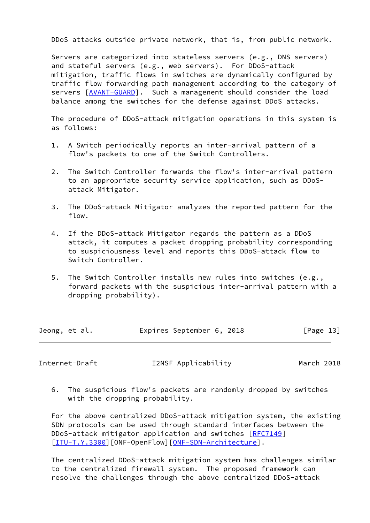DDoS attacks outside private network, that is, from public network.

 Servers are categorized into stateless servers (e.g., DNS servers) and stateful servers (e.g., web servers). For DDoS-attack mitigation, traffic flows in switches are dynamically configured by traffic flow forwarding path management according to the category of servers [\[AVANT-GUARD](#page-16-4)]. Such a managenent should consider the load balance among the switches for the defense against DDoS attacks.

 The procedure of DDoS-attack mitigation operations in this system is as follows:

- 1. A Switch periodically reports an inter-arrival pattern of a flow's packets to one of the Switch Controllers.
- 2. The Switch Controller forwards the flow's inter-arrival pattern to an appropriate security service application, such as DDoS attack Mitigator.
- 3. The DDoS-attack Mitigator analyzes the reported pattern for the flow.
- 4. If the DDoS-attack Mitigator regards the pattern as a DDoS attack, it computes a packet dropping probability corresponding to suspiciousness level and reports this DDoS-attack flow to Switch Controller.
- 5. The Switch Controller installs new rules into switches (e.g., forward packets with the suspicious inter-arrival pattern with a dropping probability).

| Jeong, et al. | Expires September 6, 2018 |  | [Page 13] |  |
|---------------|---------------------------|--|-----------|--|
|               |                           |  |           |  |

Internet-Draft I2NSF Applicability March 2018

 6. The suspicious flow's packets are randomly dropped by switches with the dropping probability.

 For the above centralized DDoS-attack mitigation system, the existing SDN protocols can be used through standard interfaces between the DDoS-attack mitigator application and switches [\[RFC7149](https://datatracker.ietf.org/doc/pdf/rfc7149)] [\[ITU-T.Y.3300](#page-17-0)][ONF-OpenFlow][\[ONF-SDN-Architecture](#page-18-2)].

 The centralized DDoS-attack mitigation system has challenges similar to the centralized firewall system. The proposed framework can resolve the challenges through the above centralized DDoS-attack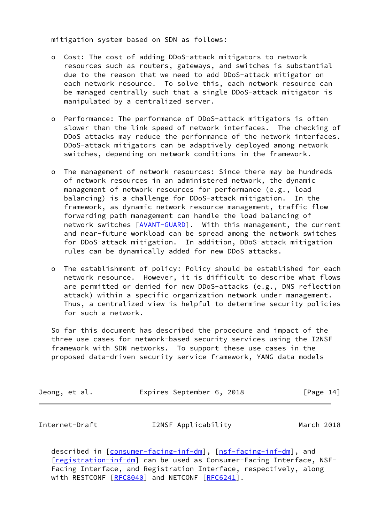mitigation system based on SDN as follows:

- o Cost: The cost of adding DDoS-attack mitigators to network resources such as routers, gateways, and switches is substantial due to the reason that we need to add DDoS-attack mitigator on each network resource. To solve this, each network resource can be managed centrally such that a single DDoS-attack mitigator is manipulated by a centralized server.
- o Performance: The performance of DDoS-attack mitigators is often slower than the link speed of network interfaces. The checking of DDoS attacks may reduce the performance of the network interfaces. DDoS-attack mitigators can be adaptively deployed among network switches, depending on network conditions in the framework.
- o The management of network resources: Since there may be hundreds of network resources in an administered network, the dynamic management of network resources for performance (e.g., load balancing) is a challenge for DDoS-attack mitigation. In the framework, as dynamic network resource management, traffic flow forwarding path management can handle the load balancing of network switches [\[AVANT-GUARD](#page-16-4)]. With this management, the current and near-future workload can be spread among the network switches for DDoS-attack mitigation. In addition, DDoS-attack mitigation rules can be dynamically added for new DDoS attacks.
- o The establishment of policy: Policy should be established for each network resource. However, it is difficult to describe what flows are permitted or denied for new DDoS-attacks (e.g., DNS reflection attack) within a specific organization network under management. Thus, a centralized view is helpful to determine security policies for such a network.

 So far this document has described the procedure and impact of the three use cases for network-based security services using the I2NSF framework with SDN networks. To support these use cases in the proposed data-driven security service framework, YANG data models

| Jeong, et al. | Expires September 6, 2018 |  | [Page 14] |
|---------------|---------------------------|--|-----------|
|               |                           |  |           |

<span id="page-15-0"></span>Internet-Draft I2NSF Applicability March 2018

described in [\[consumer-facing-inf-dm](#page-17-5)], [\[nsf-facing-inf-dm](#page-17-7)], and [\[registration-inf-dm](#page-18-4)] can be used as Consumer-Facing Interface, NSF- Facing Interface, and Registration Interface, respectively, along with RESTCONF [[RFC8040](https://datatracker.ietf.org/doc/pdf/rfc8040)] and NETCONF [\[RFC6241](https://datatracker.ietf.org/doc/pdf/rfc6241)].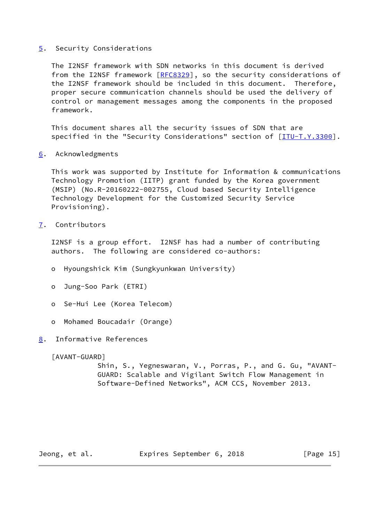## <span id="page-16-0"></span>[5](#page-16-0). Security Considerations

 The I2NSF framework with SDN networks in this document is derived from the I2NSF framework [\[RFC8329](https://datatracker.ietf.org/doc/pdf/rfc8329)], so the security considerations of the I2NSF framework should be included in this document. Therefore, proper secure communication channels should be used the delivery of control or management messages among the components in the proposed framework.

 This document shares all the security issues of SDN that are specified in the "Security Considerations" section of [[ITU-T.Y.3300\]](#page-17-0).

<span id="page-16-1"></span>[6](#page-16-1). Acknowledgments

 This work was supported by Institute for Information & communications Technology Promotion (IITP) grant funded by the Korea government (MSIP) (No.R-20160222-002755, Cloud based Security Intelligence Technology Development for the Customized Security Service Provisioning).

<span id="page-16-2"></span>[7](#page-16-2). Contributors

 I2NSF is a group effort. I2NSF has had a number of contributing authors. The following are considered co-authors:

- o Hyoungshick Kim (Sungkyunkwan University)
- o Jung-Soo Park (ETRI)
- o Se-Hui Lee (Korea Telecom)
- o Mohamed Boucadair (Orange)

# <span id="page-16-3"></span>[8](#page-16-3). Informative References

<span id="page-16-4"></span>[AVANT-GUARD]

 Shin, S., Yegneswaran, V., Porras, P., and G. Gu, "AVANT- GUARD: Scalable and Vigilant Switch Flow Management in Software-Defined Networks", ACM CCS, November 2013.

Jeong, et al. **Expires September 6, 2018** [Page 15]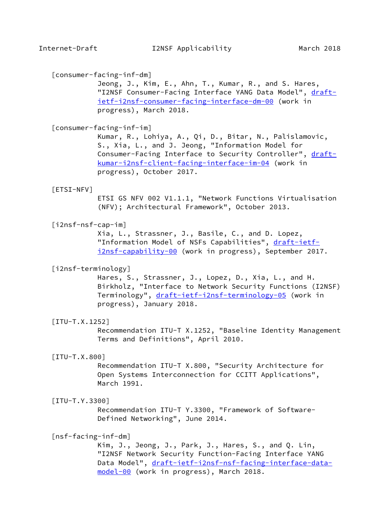## <span id="page-17-5"></span>[consumer-facing-inf-dm]

 Jeong, J., Kim, E., Ahn, T., Kumar, R., and S. Hares, "I2NSF Consumer-Facing Interface YANG Data Model", [draft](https://datatracker.ietf.org/doc/pdf/draft-ietf-i2nsf-consumer-facing-interface-dm-00) [ietf-i2nsf-consumer-facing-interface-dm-00](https://datatracker.ietf.org/doc/pdf/draft-ietf-i2nsf-consumer-facing-interface-dm-00) (work in progress), March 2018.

#### <span id="page-17-4"></span>[consumer-facing-inf-im]

 Kumar, R., Lohiya, A., Qi, D., Bitar, N., Palislamovic, S., Xia, L., and J. Jeong, "Information Model for Consumer-Facing Interface to Security Controller", [draft](https://datatracker.ietf.org/doc/pdf/draft-kumar-i2nsf-client-facing-interface-im-04) [kumar-i2nsf-client-facing-interface-im-04](https://datatracker.ietf.org/doc/pdf/draft-kumar-i2nsf-client-facing-interface-im-04) (work in progress), October 2017.

#### <span id="page-17-8"></span>[ETSI-NFV]

 ETSI GS NFV 002 V1.1.1, "Network Functions Virtualisation (NFV); Architectural Framework", October 2013.

### <span id="page-17-6"></span>[i2nsf-nsf-cap-im]

 Xia, L., Strassner, J., Basile, C., and D. Lopez, "Information Model of NSFs Capabilities", [draft-ietf](https://datatracker.ietf.org/doc/pdf/draft-ietf-i2nsf-capability-00) [i2nsf-capability-00](https://datatracker.ietf.org/doc/pdf/draft-ietf-i2nsf-capability-00) (work in progress), September 2017.

#### <span id="page-17-3"></span>[i2nsf-terminology]

 Hares, S., Strassner, J., Lopez, D., Xia, L., and H. Birkholz, "Interface to Network Security Functions (I2NSF) Terminology", [draft-ietf-i2nsf-terminology-05](https://datatracker.ietf.org/doc/pdf/draft-ietf-i2nsf-terminology-05) (work in progress), January 2018.

### <span id="page-17-1"></span>[ITU-T.X.1252]

 Recommendation ITU-T X.1252, "Baseline Identity Management Terms and Definitions", April 2010.

#### <span id="page-17-2"></span>[ITU-T.X.800]

 Recommendation ITU-T X.800, "Security Architecture for Open Systems Interconnection for CCITT Applications", March 1991.

#### <span id="page-17-0"></span>[ITU-T.Y.3300]

 Recommendation ITU-T Y.3300, "Framework of Software- Defined Networking", June 2014.

### <span id="page-17-7"></span>[nsf-facing-inf-dm]

 Kim, J., Jeong, J., Park, J., Hares, S., and Q. Lin, "I2NSF Network Security Function-Facing Interface YANG Data Model", [draft-ietf-i2nsf-nsf-facing-interface-data](https://datatracker.ietf.org/doc/pdf/draft-ietf-i2nsf-nsf-facing-interface-data-model-00) [model-00](https://datatracker.ietf.org/doc/pdf/draft-ietf-i2nsf-nsf-facing-interface-data-model-00) (work in progress), March 2018.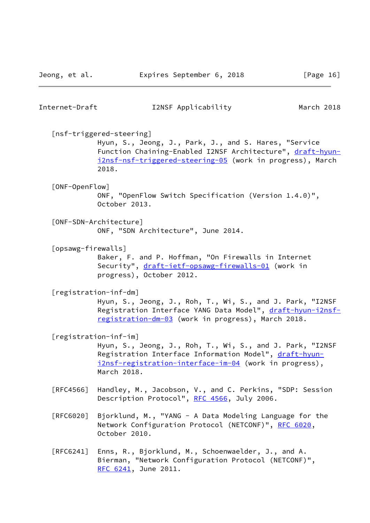<span id="page-18-5"></span><span id="page-18-4"></span><span id="page-18-3"></span><span id="page-18-2"></span><span id="page-18-1"></span><span id="page-18-0"></span>

| Internet-Draft     | I2NSF Applicability                                                                                                                                                                                                   | March 2018 |
|--------------------|-----------------------------------------------------------------------------------------------------------------------------------------------------------------------------------------------------------------------|------------|
|                    | [nsf-triggered-steering]<br>Hyun, S., Jeong, J., Park, J., and S. Hares, "Service<br>Function Chaining-Enabled I2NSF Architecture", draft-hyun-<br>i2nsf-nsf-triggered-steering-05 (work in progress), March<br>2018. |            |
| [ONF-OpenFlow]     | ONF, "OpenFlow Switch Specification (Version 1.4.0)",<br>October 2013.                                                                                                                                                |            |
|                    | [ONF-SDN-Architecture]<br>ONF, "SDN Architecture", June 2014.                                                                                                                                                         |            |
| [opsawg-firewalls] | Baker, F. and P. Hoffman, "On Firewalls in Internet<br>Security", draft-ietf-opsawg-firewalls-01 (work in<br>progress), October 2012.                                                                                 |            |
|                    | [registration-inf-dm]<br>Hyun, S., Jeong, J., Roh, T., Wi, S., and J. Park, "I2NSF<br>Registration Interface YANG Data Model", draft-hyun-i2nsf-<br>registration-dm-03 (work in progress), March 2018.                |            |
|                    | [registration-inf-im]<br>Hyun, S., Jeong, J., Roh, T., Wi, S., and J. Park, "I2NSF<br>Registration Interface Information Model", draft-hyun-<br>i2nsf-registration-interface-im-04 (work in progress),<br>March 2018. |            |
| [RFC4566]          | Handley, M., Jacobson, V., and C. Perkins, "SDP: Session<br>Description Protocol", RFC 4566, July 2006.                                                                                                               |            |
| [REG020]           | Bjorklund, M., "YANG - A Data Modeling Language for the<br>Network Configuration Protocol (NETCONF)", RFC 6020,<br>October 2010.                                                                                      |            |
| [RFC6241]          | Enns, R., Bjorklund, M., Schoenwaelder, J., and A.<br>Bierman, "Network Configuration Protocol (NETCONF)",<br>RFC 6241, June 2011.                                                                                    |            |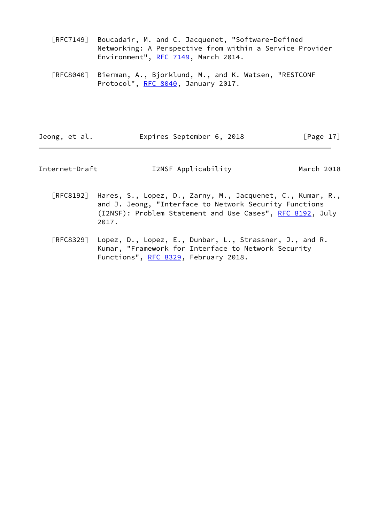- [RFC7149] Boucadair, M. and C. Jacquenet, "Software-Defined Networking: A Perspective from within a Service Provider Environment", [RFC 7149](https://datatracker.ietf.org/doc/pdf/rfc7149), March 2014.
- [RFC8040] Bierman, A., Bjorklund, M., and K. Watsen, "RESTCONF Protocol", [RFC 8040](https://datatracker.ietf.org/doc/pdf/rfc8040), January 2017.

Jeong, et al. **Expires September 6, 2018** [Page 17]

Internet-Draft I2NSF Applicability March 2018

- [RFC8192] Hares, S., Lopez, D., Zarny, M., Jacquenet, C., Kumar, R., and J. Jeong, "Interface to Network Security Functions (I2NSF): Problem Statement and Use Cases", [RFC 8192](https://datatracker.ietf.org/doc/pdf/rfc8192), July 2017.
- [RFC8329] Lopez, D., Lopez, E., Dunbar, L., Strassner, J., and R. Kumar, "Framework for Interface to Network Security Functions", [RFC 8329,](https://datatracker.ietf.org/doc/pdf/rfc8329) February 2018.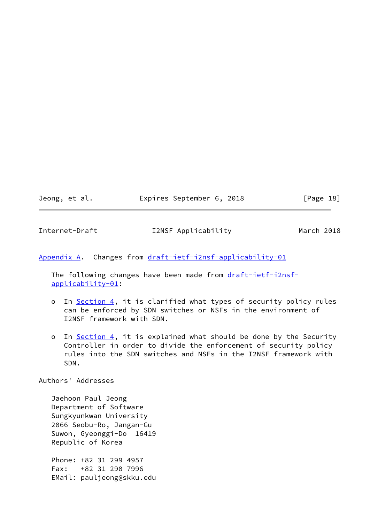Jeong, et al. Expires September 6, 2018 [Page 18]

<span id="page-20-1"></span>Internet-Draft I2NSF Applicability March 2018

<span id="page-20-0"></span>[Appendix A.](#page-20-0) Changes from [draft-ietf-i2nsf-applicability-01](https://datatracker.ietf.org/doc/pdf/draft-ietf-i2nsf-applicability-01)

The following changes have been made from [draft-ietf-i2nsf](https://datatracker.ietf.org/doc/pdf/draft-ietf-i2nsf-applicability-01) [applicability-01](https://datatracker.ietf.org/doc/pdf/draft-ietf-i2nsf-applicability-01):

- o In [Section 4,](#page-7-0) it is clarified what types of security policy rules can be enforced by SDN switches or NSFs in the environment of I2NSF framework with SDN.
- o In [Section 4,](#page-7-0) it is explained what should be done by the Security Controller in order to divide the enforcement of security policy rules into the SDN switches and NSFs in the I2NSF framework with SDN.

Authors' Addresses

 Jaehoon Paul Jeong Department of Software Sungkyunkwan University 2066 Seobu-Ro, Jangan-Gu Suwon, Gyeonggi-Do 16419 Republic of Korea

 Phone: +82 31 299 4957 Fax: +82 31 290 7996 EMail: pauljeong@skku.edu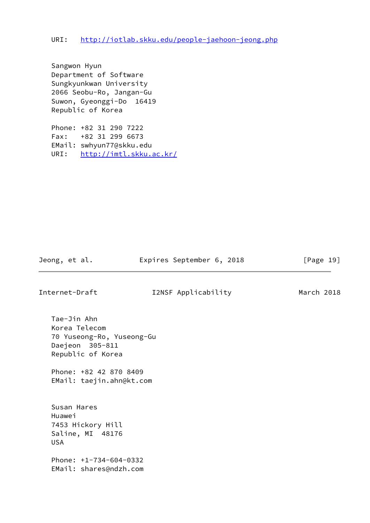Sangwon Hyun Department of Software Sungkyunkwan University 2066 Seobu-Ro, Jangan-Gu Suwon, Gyeonggi-Do 16419 Republic of Korea

 Phone: +82 31 290 7222 Fax: +82 31 299 6673 EMail: swhyun77@skku.edu URI: <http://imtl.skku.ac.kr/>

Jeong, et al. **Expires September 6, 2018** [Page 19]

Internet-Draft I2NSF Applicability March 2018

 Tae-Jin Ahn Korea Telecom 70 Yuseong-Ro, Yuseong-Gu Daejeon 305-811 Republic of Korea

 Phone: +82 42 870 8409 EMail: taejin.ahn@kt.com

 Susan Hares Huawei 7453 Hickory Hill Saline, MI 48176 USA

 Phone: +1-734-604-0332 EMail: shares@ndzh.com